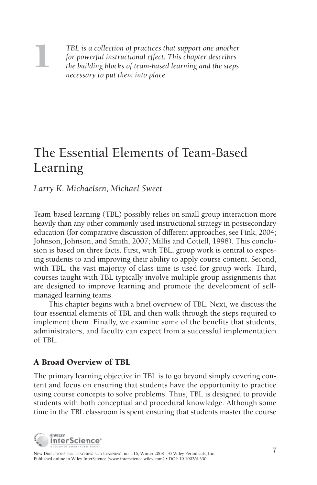# 1

*TBL is a collection of practices that support one another for powerful instructional effect. This chapter describes the building blocks of team-based learning and the steps necessary to put them into place.*

# The Essential Elements of Team-Based Learning

*Larry K. Michaelsen, Michael Sweet*

Team-based learning (TBL) possibly relies on small group interaction more heavily than any other commonly used instructional strategy in postsecondary education (for comparative discussion of different approaches, see Fink, 2004; Johnson, Johnson, and Smith, 2007; Millis and Cottell, 1998). This conclusion is based on three facts. First, with TBL, group work is central to exposing students to and improving their ability to apply course content. Second, with TBL, the vast majority of class time is used for group work. Third, courses taught with TBL typically involve multiple group assignments that are designed to improve learning and promote the development of selfmanaged learning teams.

This chapter begins with a brief overview of TBL. Next, we discuss the four essential elements of TBL and then walk through the steps required to implement them. Finally, we examine some of the benefits that students, administrators, and faculty can expect from a successful implementation of TBL.

# A Broad Overview of TBL

The primary learning objective in TBL is to go beyond simply covering content and focus on ensuring that students have the opportunity to practice using course concepts to solve problems. Thus, TBL is designed to provide students with both conceptual and procedural knowledge. Although some time in the TBL classroom is spent ensuring that students master the course

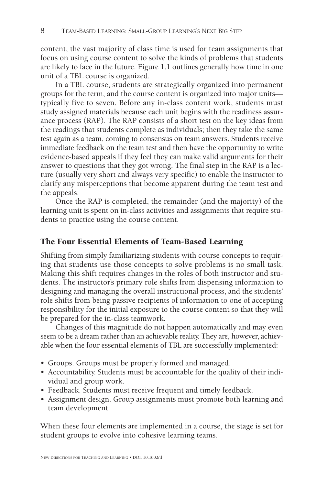content, the vast majority of class time is used for team assignments that focus on using course content to solve the kinds of problems that students are likely to face in the future. Figure 1.1 outlines generally how time in one unit of a TBL course is organized.

In a TBL course, students are strategically organized into permanent groups for the term, and the course content is organized into major units typically five to seven. Before any in-class content work, students must study assigned materials because each unit begins with the readiness assurance process (RAP). The RAP consists of a short test on the key ideas from the readings that students complete as individuals; then they take the same test again as a team, coming to consensus on team answers. Students receive immediate feedback on the team test and then have the opportunity to write evidence-based appeals if they feel they can make valid arguments for their answer to questions that they got wrong. The final step in the RAP is a lecture (usually very short and always very specific) to enable the instructor to clarify any misperceptions that become apparent during the team test and the appeals.

Once the RAP is completed, the remainder (and the majority) of the learning unit is spent on in-class activities and assignments that require students to practice using the course content.

### The Four Essential Elements of Team-Based Learning

Shifting from simply familiarizing students with course concepts to requiring that students use those concepts to solve problems is no small task. Making this shift requires changes in the roles of both instructor and students. The instructor's primary role shifts from dispensing information to designing and managing the overall instructional process, and the students' role shifts from being passive recipients of information to one of accepting responsibility for the initial exposure to the course content so that they will be prepared for the in-class teamwork.

Changes of this magnitude do not happen automatically and may even seem to be a dream rather than an achievable reality. They are, however, achievable when the four essential elements of TBL are successfully implemented:

- Groups. Groups must be properly formed and managed.
- Accountability. Students must be accountable for the quality of their individual and group work.
- Feedback. Students must receive frequent and timely feedback.
- Assignment design. Group assignments must promote both learning and team development.

When these four elements are implemented in a course, the stage is set for student groups to evolve into cohesive learning teams*.*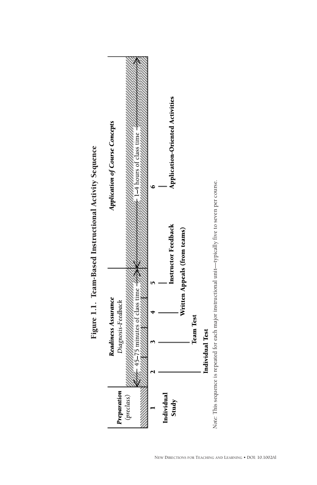

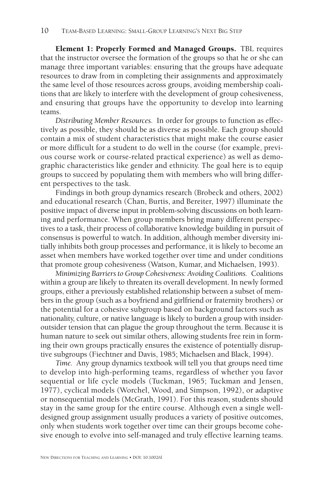Element 1: Properly Formed and Managed Groups. TBL requires that the instructor oversee the formation of the groups so that he or she can manage three important variables: ensuring that the groups have adequate resources to draw from in completing their assignments and approximately the same level of those resources across groups, avoiding membership coalitions that are likely to interfere with the development of group cohesiveness, and ensuring that groups have the opportunity to develop into learning teams.

*Distributing Member Resources.* In order for groups to function as effectively as possible, they should be as diverse as possible. Each group should contain a mix of student characteristics that might make the course easier or more difficult for a student to do well in the course (for example, previous course work or course-related practical experience) as well as demographic characteristics like gender and ethnicity. The goal here is to equip groups to succeed by populating them with members who will bring different perspectives to the task.

Findings in both group dynamics research (Brobeck and others, 2002) and educational research (Chan, Burtis, and Bereiter, 1997) illuminate the positive impact of diverse input in problem-solving discussions on both learning and performance. When group members bring many different perspectives to a task, their process of collaborative knowledge building in pursuit of consensus is powerful to watch. In addition, although member diversity initially inhibits both group processes and performance, it is likely to become an asset when members have worked together over time and under conditions that promote group cohesiveness (Watson, Kumar, and Michaelsen, 1993).

*Minimizing Barriers to Group Cohesiveness: Avoiding Coalitions.* Coalitions within a group are likely to threaten its overall development. In newly formed groups, either a previously established relationship between a subset of members in the group (such as a boyfriend and girlfriend or fraternity brothers) or the potential for a cohesive subgroup based on background factors such as nationality, culture, or native language is likely to burden a group with insideroutsider tension that can plague the group throughout the term. Because it is human nature to seek out similar others, allowing students free rein in forming their own groups practically ensures the existence of potentially disruptive subgroups (Fiechtner and Davis, 1985; Michaelsen and Black, 1994).

*Time.* Any group dynamics textbook will tell you that groups need time to develop into high-performing teams, regardless of whether you favor sequential or life cycle models (Tuckman, 1965; Tuckman and Jensen, 1977), cyclical models (Worchel, Wood, and Simpson, 1992), or adaptive or nonsequential models (McGrath, 1991). For this reason, students should stay in the same group for the entire course. Although even a single welldesigned group assignment usually produces a variety of positive outcomes, only when students work together over time can their groups become cohesive enough to evolve into self-managed and truly effective learning teams.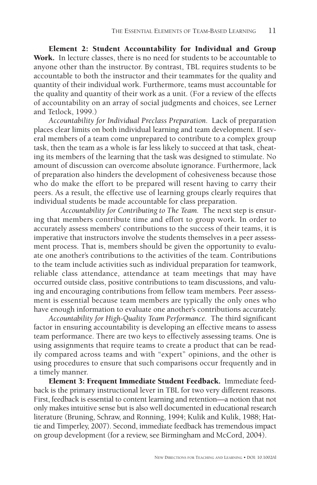Element 2: Student Accountability for Individual and Group Work. In lecture classes, there is no need for students to be accountable to anyone other than the instructor. By contrast, TBL requires students to be accountable to both the instructor and their teammates for the quality and quantity of their individual work. Furthermore, teams must accountable for the quality and quantity of their work as a unit. (For a review of the effects of accountability on an array of social judgments and choices, see Lerner and Tetlock, 1999.)

*Accountability for Individual Preclass Preparation.* Lack of preparation places clear limits on both individual learning and team development. If several members of a team come unprepared to contribute to a complex group task, then the team as a whole is far less likely to succeed at that task, cheating its members of the learning that the task was designed to stimulate. No amount of discussion can overcome absolute ignorance. Furthermore, lack of preparation also hinders the development of cohesiveness because those who do make the effort to be prepared will resent having to carry their peers. As a result, the effective use of learning groups clearly requires that individual students be made accountable for class preparation.

*Accountability for Contributing to The Team.* The next step is ensuring that members contribute time and effort to group work. In order to accurately assess members' contributions to the success of their teams, it is imperative that instructors involve the students themselves in a peer assessment process. That is, members should be given the opportunity to evaluate one another's contributions to the activities of the team. Contributions to the team include activities such as individual preparation for teamwork, reliable class attendance, attendance at team meetings that may have occurred outside class, positive contributions to team discussions, and valuing and encouraging contributions from fellow team members. Peer assessment is essential because team members are typically the only ones who have enough information to evaluate one another's contributions accurately.

*Accountability for High-Quality Team Performance.* The third significant factor in ensuring accountability is developing an effective means to assess team performance. There are two keys to effectively assessing teams. One is using assignments that require teams to create a product that can be readily compared across teams and with "expert" opinions, and the other is using procedures to ensure that such comparisons occur frequently and in a timely manner.

Element 3: Frequent Immediate Student Feedback. Immediate feedback is the primary instructional lever in TBL for two very different reasons. First, feedback is essential to content learning and retention—a notion that not only makes intuitive sense but is also well documented in educational research literature (Bruning, Schraw, and Ronning, 1994; Kulik and Kulik, 1988; Hattie and Timperley, 2007). Second, immediate feedback has tremendous impact on group development (for a review, see Birmingham and McCord, 2004).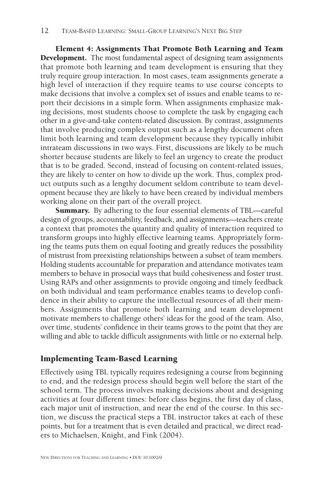Element 4: Assignments That Promote Both Learning and Team Development. The most fundamental aspect of designing team assignments that promote both learning and team development is ensuring that they truly require group interaction. In most cases, team assignments generate a high level of interaction if they require teams to use course concepts to make decisions that involve a complex set of issues and enable teams to report their decisions in a simple form. When assignments emphasize making decisions, most students choose to complete the task by engaging each other in a give-and-take content-related discussion. By contrast, assignments that involve producing complex output such as a lengthy document often limit both learning and team development because they typically inhibit intrateam discussions in two ways. First, discussions are likely to be much shorter because students are likely to feel an urgency to create the product that is to be graded. Second, instead of focusing on content-related issues, they are likely to center on how to divide up the work. Thus, complex product outputs such as a lengthy document seldom contribute to team development because they are likely to have been created by individual members working alone on their part of the overall project.

Summary. By adhering to the four essential elements of TBL—careful design of groups, accountability, feedback, and assignments—teachers create a context that promotes the quantity and quality of interaction required to transform groups into highly effective learning teams. Appropriately forming the teams puts them on equal footing and greatly reduces the possibility of mistrust from preexisting relationships between a subset of team members. Holding students accountable for preparation and attendance motivates team members to behave in prosocial ways that build cohesiveness and foster trust. Using RAPs and other assignments to provide ongoing and timely feedback on both individual and team performance enables teams to develop confidence in their ability to capture the intellectual resources of all their members. Assignments that promote both learning and team development motivate members to challenge others' ideas for the good of the team. Also, over time, students' confidence in their teams grows to the point that they are willing and able to tackle difficult assignments with little or no external help.

## Implementing Team-Based Learning

Effectively using TBL typically requires redesigning a course from beginning to end, and the redesign process should begin well before the start of the school term. The process involves making decisions about and designing activities at four different times: before class begins, the first day of class, each major unit of instruction, and near the end of the course. In this section, we discuss the practical steps a TBL instructor takes at each of these points, but for a treatment that is even detailed and practical, we direct readers to Michaelsen, Knight, and Fink (2004).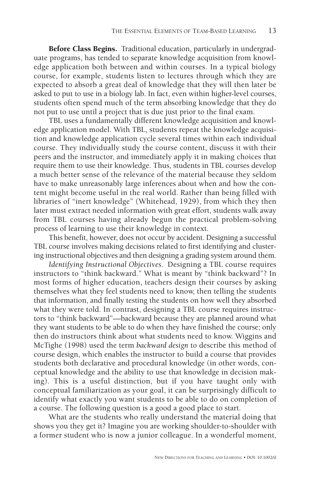Before Class Begins. Traditional education, particularly in undergraduate programs, has tended to separate knowledge acquisition from knowledge application both between and within courses. In a typical biology course, for example, students listen to lectures through which they are expected to absorb a great deal of knowledge that they will then later be asked to put to use in a biology lab. In fact, even within higher-level courses, students often spend much of the term absorbing knowledge that they do not put to use until a project that is due just prior to the final exam.

TBL uses a fundamentally different knowledge acquisition and knowledge application model. With TBL, students repeat the knowledge acquisition and knowledge application cycle several times within each individual course. They individually study the course content, discuss it with their peers and the instructor, and immediately apply it in making choices that require them to use their knowledge. Thus, students in TBL courses develop a much better sense of the relevance of the material because they seldom have to make unreasonably large inferences about when and how the content might become useful in the real world. Rather than being filled with libraries of "inert knowledge" (Whitehead, 1929), from which they then later must extract needed information with great effort, students walk away from TBL courses having already begun the practical problem-solving process of learning to use their knowledge in context.

This benefit, however, does not occur by accident. Designing a successful TBL course involves making decisions related to first identifying and clustering instructional objectives and then designing a grading system around them.

*Identifying Instructional Objectives.* Designing a TBL course requires instructors to "think backward." What is meant by "think backward"? In most forms of higher education, teachers design their courses by asking themselves what they feel students need to know, then telling the students that information, and finally testing the students on how well they absorbed what they were told. In contrast, designing a TBL course requires instructors to "think backward"—backward because they are planned around what they want students to be able to do when they have finished the course; only then do instructors think about what students need to know. Wiggins and McTighe (1998) used the term *backward design* to describe this method of course design, which enables the instructor to build a course that provides students both declarative and procedural knowledge (in other words, conceptual knowledge and the ability to use that knowledge in decision making). This is a useful distinction, but if you have taught only with conceptual familiarization as your goal, it can be surprisingly difficult to identify what exactly you want students to be able to do on completion of a course. The following question is a good a good place to start.

What are the students who really understand the material doing that shows you they get it? Imagine you are working shoulder-to-shoulder with a former student who is now a junior colleague. In a wonderful moment,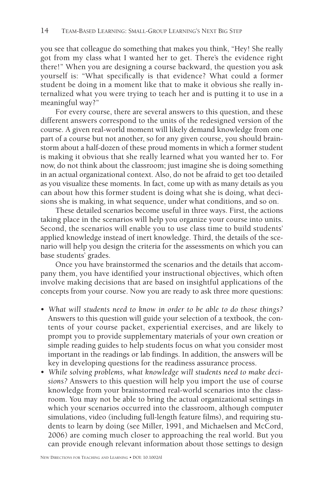you see that colleague do something that makes you think, "Hey! She really got from my class what I wanted her to get. There's the evidence right there!" When you are designing a course backward, the question you ask yourself is: "What specifically is that evidence? What could a former student be doing in a moment like that to make it obvious she really internalized what you were trying to teach her and is putting it to use in a meaningful way?"

For every course, there are several answers to this question, and these different answers correspond to the units of the redesigned version of the course. A given real-world moment will likely demand knowledge from one part of a course but not another, so for any given course, you should brainstorm about a half-dozen of these proud moments in which a former student is making it obvious that she really learned what you wanted her to. For now, do not think about the classroom; just imagine she is doing something in an actual organizational context. Also, do not be afraid to get too detailed as you visualize these moments. In fact, come up with as many details as you can about how this former student is doing what she is doing, what decisions she is making, in what sequence, under what conditions, and so on.

These detailed scenarios become useful in three ways. First, the actions taking place in the scenarios will help you organize your course into units. Second, the scenarios will enable you to use class time to build students' applied knowledge instead of inert knowledge. Third, the details of the scenario will help you design the criteria for the assessments on which you can base students' grades.

Once you have brainstormed the scenarios and the details that accompany them, you have identified your instructional objectives, which often involve making decisions that are based on insightful applications of the concepts from your course. Now you are ready to ask three more questions:

- *What will students need to know in order to be able to do those things?* Answers to this question will guide your selection of a textbook, the contents of your course packet, experiential exercises, and are likely to prompt you to provide supplementary materials of your own creation or simple reading guides to help students focus on what you consider most important in the readings or lab findings. In addition, the answers will be key in developing questions for the readiness assurance process.
- *While solving problems, what knowledge will students need to make decisions?* Answers to this question will help you import the use of course knowledge from your brainstormed real-world scenarios into the classroom. You may not be able to bring the actual organizational settings in which your scenarios occurred into the classroom, although computer simulations, video (including full-length feature films), and requiring students to learn by doing (see Miller, 1991, and Michaelsen and McCord, 2006) are coming much closer to approaching the real world. But you can provide enough relevant information about those settings to design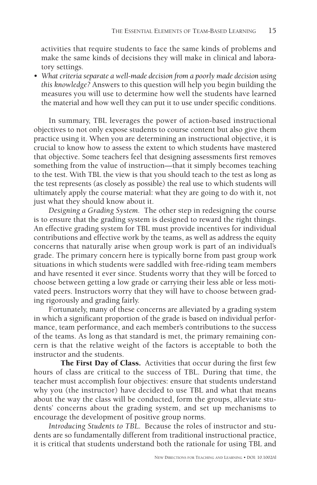activities that require students to face the same kinds of problems and make the same kinds of decisions they will make in clinical and laboratory settings.

• *What criteria separate a well-made decision from a poorly made decision using this knowledge?* Answers to this question will help you begin building the measures you will use to determine how well the students have learned the material and how well they can put it to use under specific conditions.

In summary, TBL leverages the power of action-based instructional objectives to not only expose students to course content but also give them practice using it. When you are determining an instructional objective, it is crucial to know how to assess the extent to which students have mastered that objective. Some teachers feel that designing assessments first removes something from the value of instruction—that it simply becomes teaching to the test. With TBL the view is that you should teach to the test as long as the test represents (as closely as possible) the real use to which students will ultimately apply the course material: what they are going to do with it, not just what they should know about it.

*Designing a Grading System.* The other step in redesigning the course is to ensure that the grading system is designed to reward the right things. An effective grading system for TBL must provide incentives for individual contributions and effective work by the teams, as well as address the equity concerns that naturally arise when group work is part of an individual's grade. The primary concern here is typically borne from past group work situations in which students were saddled with free-riding team members and have resented it ever since. Students worry that they will be forced to choose between getting a low grade or carrying their less able or less motivated peers. Instructors worry that they will have to choose between grading rigorously and grading fairly.

Fortunately, many of these concerns are alleviated by a grading system in which a significant proportion of the grade is based on individual performance, team performance, and each member's contributions to the success of the teams. As long as that standard is met, the primary remaining concern is that the relative weight of the factors is acceptable to both the instructor and the students.

The First Day of Class. Activities that occur during the first few hours of class are critical to the success of TBL. During that time, the teacher must accomplish four objectives: ensure that students understand why you (the instructor) have decided to use TBL and what that means about the way the class will be conducted, form the groups, alleviate students' concerns about the grading system, and set up mechanisms to encourage the development of positive group norms.

*Introducing Students to TBL.* Because the roles of instructor and students are so fundamentally different from traditional instructional practice, it is critical that students understand both the rationale for using TBL and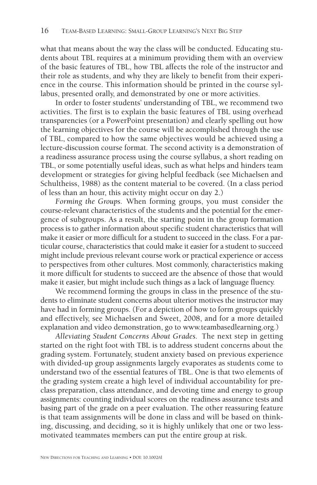what that means about the way the class will be conducted. Educating students about TBL requires at a minimum providing them with an overview of the basic features of TBL, how TBL affects the role of the instructor and their role as students, and why they are likely to benefit from their experience in the course. This information should be printed in the course syllabus, presented orally, and demonstrated by one or more activities.

In order to foster students' understanding of TBL, we recommend two activities. The first is to explain the basic features of TBL using overhead transparencies (or a PowerPoint presentation) and clearly spelling out how the learning objectives for the course will be accomplished through the use of TBL, compared to how the same objectives would be achieved using a lecture-discussion course format. The second activity is a demonstration of a readiness assurance process using the course syllabus, a short reading on TBL, or some potentially useful ideas, such as what helps and hinders team development or strategies for giving helpful feedback (see Michaelsen and Schultheiss, 1988) as the content material to be covered. (In a class period of less than an hour, this activity might occur on day 2.)

*Forming the Groups.* When forming groups, you must consider the course-relevant characteristics of the students and the potential for the emergence of subgroups. As a result, the starting point in the group formation process is to gather information about specific student characteristics that will make it easier or more difficult for a student to succeed in the class. For a particular course, characteristics that could make it easier for a student to succeed might include previous relevant course work or practical experience or access to perspectives from other cultures. Most commonly, characteristics making it more difficult for students to succeed are the absence of those that would make it easier, but might include such things as a lack of language fluency.

We recommend forming the groups in class in the presence of the students to eliminate student concerns about ulterior motives the instructor may have had in forming groups. (For a depiction of how to form groups quickly and effectively, see Michaelsen and Sweet, 2008, and for a more detailed explanation and video demonstration, go to www.teambasedlearning.org.)

*Alleviating Student Concerns About Grades.* The next step in getting started on the right foot with TBL is to address student concerns about the grading system. Fortunately, student anxiety based on previous experience with divided-up group assignments largely evaporates as students come to understand two of the essential features of TBL. One is that two elements of the grading system create a high level of individual accountability for preclass preparation, class attendance, and devoting time and energy to group assignments: counting individual scores on the readiness assurance tests and basing part of the grade on a peer evaluation. The other reassuring feature is that team assignments will be done in class and will be based on thinking, discussing, and deciding, so it is highly unlikely that one or two lessmotivated teammates members can put the entire group at risk.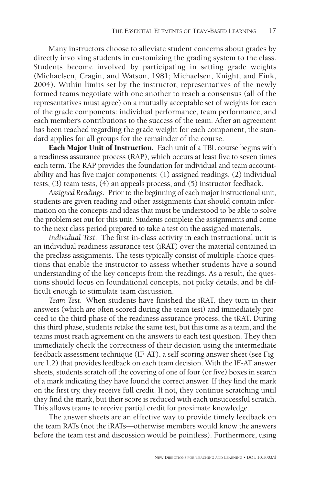Many instructors choose to alleviate student concerns about grades by directly involving students in customizing the grading system to the class. Students become involved by participating in setting grade weights (Michaelsen, Cragin, and Watson, 1981; Michaelsen, Knight, and Fink, 2004). Within limits set by the instructor, representatives of the newly formed teams negotiate with one another to reach a consensus (all of the representatives must agree) on a mutually acceptable set of weights for each of the grade components: individual performance, team performance, and each member's contributions to the success of the team. After an agreement has been reached regarding the grade weight for each component, the standard applies for all groups for the remainder of the course.

Each Major Unit of Instruction. Each unit of a TBL course begins with a readiness assurance process (RAP), which occurs at least five to seven times each term. The RAP provides the foundation for individual and team accountability and has five major components: (1) assigned readings, (2) individual tests, (3) team tests, (4) an appeals process, and (5) instructor feedback.

*Assigned Readings.* Prior to the beginning of each major instructional unit, students are given reading and other assignments that should contain information on the concepts and ideas that must be understood to be able to solve the problem set out for this unit. Students complete the assignments and come to the next class period prepared to take a test on the assigned materials.

*Individual Test.* The first in-class activity in each instructional unit is an individual readiness assurance test (iRAT) over the material contained in the preclass assignments. The tests typically consist of multiple-choice questions that enable the instructor to assess whether students have a sound understanding of the key concepts from the readings. As a result, the questions should focus on foundational concepts, not picky details, and be difficult enough to stimulate team discussion.

*Team Test.* When students have finished the iRAT, they turn in their answers (which are often scored during the team test) and immediately proceed to the third phase of the readiness assurance process, the tRAT. During this third phase, students retake the same test, but this time as a team, and the teams must reach agreement on the answers to each test question. They then immediately check the correctness of their decision using the intermediate feedback assessment technique (IF-AT), a self-scoring answer sheet (see Figure 1.2) that provides feedback on each team decision. With the IF-AT answer sheets, students scratch off the covering of one of four (or five) boxes in search of a mark indicating they have found the correct answer. If they find the mark on the first try, they receive full credit. If not, they continue scratching until they find the mark, but their score is reduced with each unsuccessful scratch. This allows teams to receive partial credit for proximate knowledge.

The answer sheets are an effective way to provide timely feedback on the team RATs (not the iRATs—otherwise members would know the answers before the team test and discussion would be pointless). Furthermore, using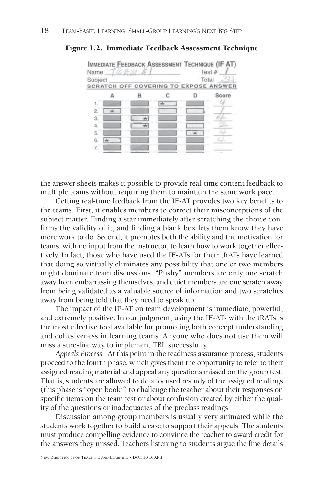

#### Figure 1.2. Immediate Feedback Assessment Technique

the answer sheets makes it possible to provide real-time content feedback to multiple teams without requiring them to maintain the same work pace.

Getting real-time feedback from the IF-AT provides two key benefits to the teams. First, it enables members to correct their misconceptions of the subject matter. Finding a star immediately after scratching the choice confirms the validity of it, and finding a blank box lets them know they have more work to do. Second, it promotes both the ability and the motivation for teams, with no input from the instructor, to learn how to work together effectively. In fact, those who have used the IF-ATs for their tRATs have learned that doing so virtually eliminates any possibility that one or two members might dominate team discussions. "Pushy" members are only one scratch away from embarrassing themselves, and quiet members are one scratch away from being validated as a valuable source of information and two scratches away from being told that they need to speak up.

The impact of the IF-AT on team development is immediate, powerful, and extremely positive. In our judgment, using the IF-ATs with the tRATs is the most effective tool available for promoting both concept understanding and cohesiveness in learning teams. Anyone who does not use them will miss a sure-fire way to implement TBL successfully.

*Appeals Process.* At this point in the readiness assurance process, students proceed to the fourth phase, which gives them the opportunity to refer to their assigned reading material and appeal any questions missed on the group test. That is, students are allowed to do a focused restudy of the assigned readings (this phase is "open book") to challenge the teacher about their responses on specific items on the team test or about confusion created by either the quality of the questions or inadequacies of the preclass readings.

Discussion among group members is usually very animated while the students work together to build a case to support their appeals. The students must produce compelling evidence to convince the teacher to award credit for the answers they missed. Teachers listening to students argue the fine details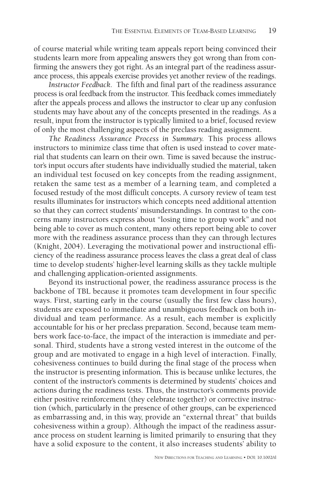of course material while writing team appeals report being convinced their students learn more from appealing answers they got wrong than from confirming the answers they got right. As an integral part of the readiness assurance process, this appeals exercise provides yet another review of the readings.

*Instructor Feedback.* The fifth and final part of the readiness assurance process is oral feedback from the instructor. This feedback comes immediately after the appeals process and allows the instructor to clear up any confusion students may have about any of the concepts presented in the readings. As a result, input from the instructor is typically limited to a brief, focused review of only the most challenging aspects of the preclass reading assignment.

*The Readiness Assurance Process in Summary.* This process allows instructors to minimize class time that often is used instead to cover material that students can learn on their own. Time is saved because the instructor's input occurs after students have individually studied the material, taken an individual test focused on key concepts from the reading assignment, retaken the same test as a member of a learning team, and completed a focused restudy of the most difficult concepts. A cursory review of team test results illuminates for instructors which concepts need additional attention so that they can correct students' misunderstandings. In contrast to the concerns many instructors express about "losing time to group work" and not being able to cover as much content, many others report being able to cover more with the readiness assurance process than they can through lectures (Knight, 2004). Leveraging the motivational power and instructional efficiency of the readiness assurance process leaves the class a great deal of class time to develop students' higher-level learning skills as they tackle multiple and challenging application-oriented assignments.

Beyond its instructional power, the readiness assurance process is the backbone of TBL because it promotes team development in four specific ways. First, starting early in the course (usually the first few class hours), students are exposed to immediate and unambiguous feedback on both individual and team performance. As a result, each member is explicitly accountable for his or her preclass preparation. Second, because team members work face-to-face, the impact of the interaction is immediate and personal. Third, students have a strong vested interest in the outcome of the group and are motivated to engage in a high level of interaction. Finally, cohesiveness continues to build during the final stage of the process when the instructor is presenting information. This is because unlike lectures, the content of the instructor's comments is determined by students' choices and actions during the readiness tests. Thus, the instructor's comments provide either positive reinforcement (they celebrate together) or corrective instruction (which, particularly in the presence of other groups, can be experienced as embarrassing and, in this way, provide an "external threat" that builds cohesiveness within a group). Although the impact of the readiness assurance process on student learning is limited primarily to ensuring that they have a solid exposure to the content, it also increases students' ability to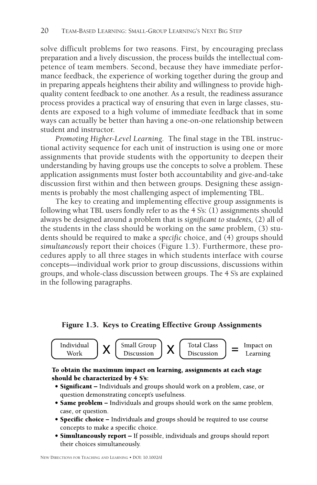solve difficult problems for two reasons. First, by encouraging preclass preparation and a lively discussion, the process builds the intellectual competence of team members. Second, because they have immediate performance feedback, the experience of working together during the group and in preparing appeals heightens their ability and willingness to provide highquality content feedback to one another. As a result, the readiness assurance process provides a practical way of ensuring that even in large classes, students are exposed to a high volume of immediate feedback that in some ways can actually be better than having a one-on-one relationship between student and instructor.

*Promoting Higher-Level Learning.* The final stage in the TBL instructional activity sequence for each unit of instruction is using one or more assignments that provide students with the opportunity to deepen their understanding by having groups use the concepts to solve a problem. These application assignments must foster both accountability and give-and-take discussion first within and then between groups. Designing these assignments is probably the most challenging aspect of implementing TBL.

The key to creating and implementing effective group assignments is following what TBL users fondly refer to as the 4 S's: (1) assignments should always be designed around a problem that is *significant to students,* (2) all of the students in the class should be working on the *same* problem, (3) students should be required to make a *specific* choice, and (4) groups should *simultaneously* report their choices (Figure 1.3). Furthermore, these procedures apply to all three stages in which students interface with course concepts—individual work prior to group discussions, discussions within groups, and whole-class discussion between groups. The 4 S's are explained in the following paragraphs.

#### Figure 1.3. Keys to Creating Effective Group Assignments



To obtain the maximum impact on learning, assignments at each stage should be characterized by 4 S's:

- Significant Individuals and groups should work on a problem, case, or question demonstrating concept's usefulness.
- Same problem Individuals and groups should work on the same problem. case, or question.
- Specific choice Individuals and groups should be required to use course concepts to make a specific choice.
- **Simultaneously report If possible, individuals and groups should report** their choices simultaneously.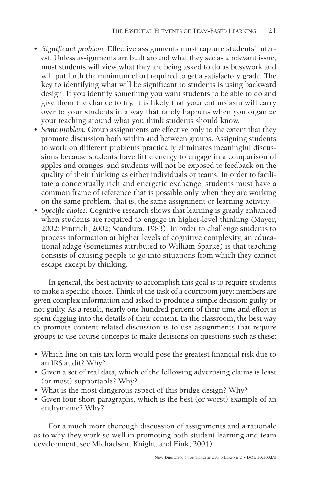- *Significant problem.* Effective assignments must capture students' interest. Unless assignments are built around what they see as a relevant issue, most students will view what they are being asked to do as busywork and will put forth the minimum effort required to get a satisfactory grade. The key to identifying what will be significant to students is using backward design. If you identify something you want students to be able to do and give them the chance to try, it is likely that your enthusiasm will carry over to your students in a way that rarely happens when you organize your teaching around what you think students should know.
- *Same problem.* Group assignments are effective only to the extent that they promote discussion both within and between groups. Assigning students to work on different problems practically eliminates meaningful discussions because students have little energy to engage in a comparison of apples and oranges, and students will not be exposed to feedback on the quality of their thinking as either individuals or teams. In order to facilitate a conceptually rich and energetic exchange, students must have a common frame of reference that is possible only when they are working on the same problem, that is, the same assignment or learning activity.
- *Specific choice.* Cognitive research shows that learning is greatly enhanced when students are required to engage in higher-level thinking (Mayer, 2002; Pintrich, 2002; Scandura, 1983). In order to challenge students to process information at higher levels of cognitive complexity, an educational adage (sometimes attributed to William Sparke) is that teaching consists of causing people to go into situations from which they cannot escape except by thinking.

In general, the best activity to accomplish this goal is to require students to make a specific choice. Think of the task of a courtroom jury: members are given complex information and asked to produce a simple decision: guilty or not guilty. As a result, nearly one hundred percent of their time and effort is spent digging into the details of their content. In the classroom, the best way to promote content-related discussion is to use assignments that require groups to use course concepts to make decisions on questions such as these:

- Which line on this tax form would pose the greatest financial risk due to an IRS audit? Why?
- Given a set of real data, which of the following advertising claims is least (or most) supportable? Why?
- What is the most dangerous aspect of this bridge design? Why?
- Given four short paragraphs, which is the best (or worst) example of an enthymeme? Why?

For a much more thorough discussion of assignments and a rationale as to why they work so well in promoting both student learning and team development, see Michaelsen, Knight, and Fink, 2004).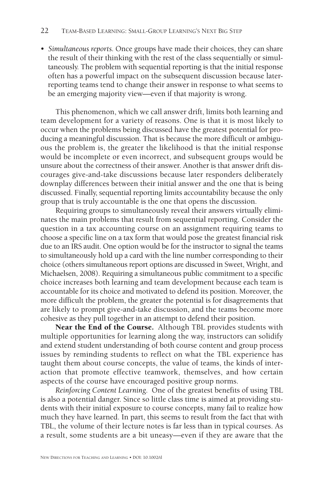• *Simultaneous reports.* Once groups have made their choices, they can share the result of their thinking with the rest of the class sequentially or simultaneously. The problem with sequential reporting is that the initial response often has a powerful impact on the subsequent discussion because laterreporting teams tend to change their answer in response to what seems to be an emerging majority view—even if that majority is wrong.

This phenomenon, which we call answer drift, limits both learning and team development for a variety of reasons. One is that it is most likely to occur when the problems being discussed have the greatest potential for producing a meaningful discussion. That is because the more difficult or ambiguous the problem is, the greater the likelihood is that the initial response would be incomplete or even incorrect, and subsequent groups would be unsure about the correctness of their answer. Another is that answer drift discourages give-and-take discussions because later responders deliberately downplay differences between their initial answer and the one that is being discussed. Finally, sequential reporting limits accountability because the only group that is truly accountable is the one that opens the discussion.

Requiring groups to simultaneously reveal their answers virtually eliminates the main problems that result from sequential reporting. Consider the question in a tax accounting course on an assignment requiring teams to choose a specific line on a tax form that would pose the greatest financial risk due to an IRS audit. One option would be for the instructor to signal the teams to simultaneously hold up a card with the line number corresponding to their choice (others simultaneous report options are discussed in Sweet, Wright, and Michaelsen, 2008). Requiring a simultaneous public commitment to a specific choice increases both learning and team development because each team is accountable for its choice and motivated to defend its position. Moreover, the more difficult the problem, the greater the potential is for disagreements that are likely to prompt give-and-take discussion, and the teams become more cohesive as they pull together in an attempt to defend their position.

Near the End of the Course. Although TBL provides students with multiple opportunities for learning along the way, instructors can solidify and extend student understanding of both course content and group process issues by reminding students to reflect on what the TBL experience has taught them about course concepts, the value of teams, the kinds of interaction that promote effective teamwork, themselves, and how certain aspects of the course have encouraged positive group norms.

*Reinforcing Content Learning.* One of the greatest benefits of using TBL is also a potential danger. Since so little class time is aimed at providing students with their initial exposure to course concepts, many fail to realize how much they have learned. In part, this seems to result from the fact that with TBL, the volume of their lecture notes is far less than in typical courses. As a result, some students are a bit uneasy—even if they are aware that the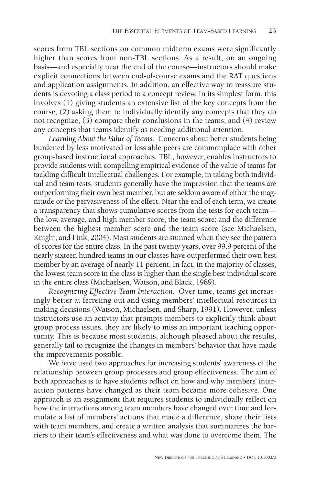scores from TBL sections on common midterm exams were significantly higher than scores from non-TBL sections. As a result, on an ongoing basis—and especially near the end of the course—instructors should make explicit connections between end-of-course exams and the RAT questions and application assignments. In addition, an effective way to reassure students is devoting a class period to a concept review. In its simplest form, this involves (1) giving students an extensive list of the key concepts from the course, (2) asking them to individually identify any concepts that they do not recognize, (3) compare their conclusions in the teams, and (4) review any concepts that teams identify as needing additional attention.

*Learning About the Value of Teams.* Concerns about better students being burdened by less motivated or less able peers are commonplace with other group-based instructional approaches. TBL, however, enables instructors to provide students with compelling empirical evidence of the value of teams for tackling difficult intellectual challenges. For example, in taking both individual and team tests, students generally have the impression that the teams are outperforming their own best member, but are seldom aware of either the magnitude or the pervasiveness of the effect. Near the end of each term, we create a transparency that shows cumulative scores from the tests for each team the low, average, and high member score; the team score; and the difference between the highest member score and the team score (see Michaelsen, Knight, and Fink, 2004). Most students are stunned when they see the pattern of scores for the entire class. In the past twenty years, over 99.9 percent of the nearly sixteen hundred teams in our classes have outperformed their own best member by an average of nearly 11 percent. In fact, in the majority of classes, the lowest team score in the class is higher than the single best individual score in the entire class (Michaelsen, Watson, and Black, 1989).

*Recognizing Effective Team Interaction.* Over time, teams get increasingly better at ferreting out and using members' intellectual resources in making decisions (Watson, Michaelsen, and Sharp, 1991). However, unless instructors use an activity that prompts members to explicitly think about group process issues, they are likely to miss an important teaching opportunity. This is because most students, although pleased about the results, generally fail to recognize the changes in members' behavior that have made the improvements possible.

We have used two approaches for increasing students' awareness of the relationship between group processes and group effectiveness. The aim of both approaches is to have students reflect on how and why members' interaction patterns have changed as their team became more cohesive. One approach is an assignment that requires students to individually reflect on how the interactions among team members have changed over time and formulate a list of members' actions that made a difference, share their lists with team members, and create a written analysis that summarizes the barriers to their team's effectiveness and what was done to overcome them. The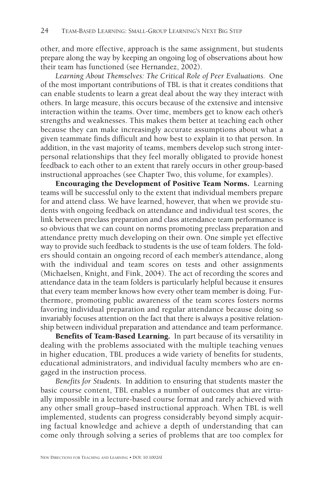other, and more effective, approach is the same assignment, but students prepare along the way by keeping an ongoing log of observations about how their team has functioned (see Hernandez, 2002).

*Learning About Themselves: The Critical Role of Peer Evaluations.* One of the most important contributions of TBL is that it creates conditions that can enable students to learn a great deal about the way they interact with others. In large measure, this occurs because of the extensive and intensive interaction within the teams. Over time, members get to know each other's strengths and weaknesses. This makes them better at teaching each other because they can make increasingly accurate assumptions about what a given teammate finds difficult and how best to explain it to that person. In addition, in the vast majority of teams, members develop such strong interpersonal relationships that they feel morally obligated to provide honest feedback to each other to an extent that rarely occurs in other group-based instructional approaches (see Chapter Two, this volume, for examples).

Encouraging the Development of Positive Team Norms. Learning teams will be successful only to the extent that individual members prepare for and attend class. We have learned, however, that when we provide students with ongoing feedback on attendance and individual test scores, the link between preclass preparation and class attendance team performance is so obvious that we can count on norms promoting preclass preparation and attendance pretty much developing on their own. One simple yet effective way to provide such feedback to students is the use of team folders. The folders should contain an ongoing record of each member's attendance, along with the individual and team scores on tests and other assignments (Michaelsen, Knight, and Fink, 2004). The act of recording the scores and attendance data in the team folders is particularly helpful because it ensures that every team member knows how every other team member is doing. Furthermore, promoting public awareness of the team scores fosters norms favoring individual preparation and regular attendance because doing so invariably focuses attention on the fact that there is always a positive relationship between individual preparation and attendance and team performance.

Benefits of Team-Based Learning. In part because of its versatility in dealing with the problems associated with the multiple teaching venues in higher education, TBL produces a wide variety of benefits for students, educational administrators, and individual faculty members who are engaged in the instruction process.

*Benefits for Students.* In addition to ensuring that students master the basic course content, TBL enables a number of outcomes that are virtually impossible in a lecture-based course format and rarely achieved with any other small group–based instructional approach. When TBL is well implemented, students can progress considerably beyond simply acquiring factual knowledge and achieve a depth of understanding that can come only through solving a series of problems that are too complex for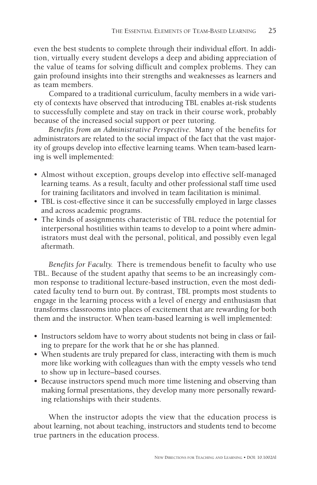even the best students to complete through their individual effort. In addition, virtually every student develops a deep and abiding appreciation of the value of teams for solving difficult and complex problems. They can gain profound insights into their strengths and weaknesses as learners and as team members.

Compared to a traditional curriculum, faculty members in a wide variety of contexts have observed that introducing TBL enables at-risk students to successfully complete and stay on track in their course work, probably because of the increased social support or peer tutoring.

*Benefits from an Administrative Perspective.* Many of the benefits for administrators are related to the social impact of the fact that the vast majority of groups develop into effective learning teams. When team-based learning is well implemented:

- Almost without exception, groups develop into effective self-managed learning teams. As a result, faculty and other professional staff time used for training facilitators and involved in team facilitation is minimal.
- TBL is cost-effective since it can be successfully employed in large classes and across academic programs.
- The kinds of assignments characteristic of TBL reduce the potential for interpersonal hostilities within teams to develop to a point where administrators must deal with the personal, political, and possibly even legal aftermath.

*Benefits for Faculty.* There is tremendous benefit to faculty who use TBL. Because of the student apathy that seems to be an increasingly common response to traditional lecture-based instruction, even the most dedicated faculty tend to burn out. By contrast, TBL prompts most students to engage in the learning process with a level of energy and enthusiasm that transforms classrooms into places of excitement that are rewarding for both them and the instructor. When team-based learning is well implemented:

- Instructors seldom have to worry about students not being in class or failing to prepare for the work that he or she has planned.
- When students are truly prepared for class, interacting with them is much more like working with colleagues than with the empty vessels who tend to show up in lecture–based courses.
- Because instructors spend much more time listening and observing than making formal presentations, they develop many more personally rewarding relationships with their students.

When the instructor adopts the view that the education process is about learning, not about teaching, instructors and students tend to become true partners in the education process.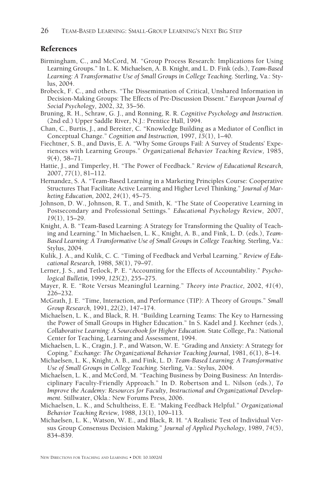#### References

- Birmingham, C., and McCord, M. "Group Process Research: Implications for Using Learning Groups." In L. K. Michaelsen, A. B. Knight, and L. D. Fink (eds.), *Team-Based Learning: A Transformative Use of Small Groups in College Teaching*. Sterling, Va.: Stylus, 2004.
- Brobeck, F. C., and others. "The Dissemination of Critical, Unshared Information in Decision-Making Groups: The Effects of Pre-Discussion Dissent." *European Journal of Social Psychology,* 2002, *32,* 35–56.
- Bruning, R. H., Schraw, G. J., and Ronning, R. R. *Cognitive Psychology and Instruction.* (2nd ed.) Upper Saddle River, N.J.: Prentice Hall, 1994.
- Chan, C., Burtis, J., and Bereiter, C. "Knowledge Building as a Mediator of Conflict in Conceptual Change." *Cognition and Instruction,* 1997, *15*(1), 1–40.
- Fiechtner, S. B., and Davis, E. A. "Why Some Groups Fail: A Survey of Students' Experiences with Learning Groups." *Organizational Behavior Teaching Review,* 1985, *9*(4), 58–71.
- Hattie, J., and Timperley, H. "The Power of Feedback." *Review of Educational Research,* 2007, *77*(1), 81–112.
- Hernandez, S. A. "Team-Based Learning in a Marketing Principles Course: Cooperative Structures That Facilitate Active Learning and Higher Level Thinking." *Journal of Marketing Education,* 2002, *24*(1), 45–75.
- Johnson, D. W., Johnson, R. T., and Smith, K. "The State of Cooperative Learning in Postsecondary and Professional Settings." *Educational Psychology Review,* 2007, *19*(1), 15–29.
- Knight, A. B. "Team-Based Learning: A Strategy for Transforming the Quality of Teaching and Learning." In Michaelsen, L. K., Knight, A. B., and Fink, L. D. (eds.), *Team-Based Learning: A Transformative Use of Small Groups in College Teaching*. Sterling, Va.: Stylus, 2004.
- Kulik, J. A., and Kulik, C. C. "Timing of Feedback and Verbal Learning." *Review of Educational Research,* 1988, *58*(1), 79–97.
- Lerner, J. S., and Tetlock, P. E. "Accounting for the Effects of Accountability." *Psychological Bulletin,* 1999, *125*(2), 255–275.
- Mayer, R. E. "Rote Versus Meaningful Learning." *Theory into Practice,* 2002, *41*(4), 226–232.
- McGrath, J. E. "Time, Interaction, and Performance (TIP): A Theory of Groups." *Small Group Research,* 1991, *22*(2), 147–174.
- Michaelsen, L. K., and Black, R. H. "Building Learning Teams: The Key to Harnessing the Power of Small Groups in Higher Education." In S. Kadel and J. Keehner (eds.), *Collaborative Learning: A Sourcebook for Higher Education.* State College, Pa.: National Center for Teaching, Learning and Assessment, 1994.
- Michaelsen, L. K., Cragin, J. P., and Watson, W. E. "Grading and Anxiety: A Strategy for Coping." *Exchange: The Organizational Behavior Teaching Journal,* 1981, *6*(1), 8–14.
- Michaelsen, L. K., Knight, A. B., and Fink, L. D. *Team-Based Learning: A Transformative Use of Small Groups in College Teaching.* Sterling, Va.: Stylus, 2004.
- Michaelsen, L. K., and McCord, M. "Teaching Business by Doing Business: An Interdisciplinary Faculty-Friendly Approach." In D. Robertson and L. Nilson (eds.), *To Improve the Academy: Resources for Faculty, Instructional and Organizational Development.* Stillwater, Okla.: New Forums Press, 2006.
- Michaelsen, L. K., and Schultheiss, E. E. "Making Feedback Helpful." *Organizational Behavior Teaching Review,* 1988, *13*(1), 109–113.
- Michaelsen, L. K., Watson, W. E., and Black, R. H. "A Realistic Test of Individual Versus Group Consensus Decision Making." *Journal of Applied Psychology,* 1989, *74*(5), 834–839.